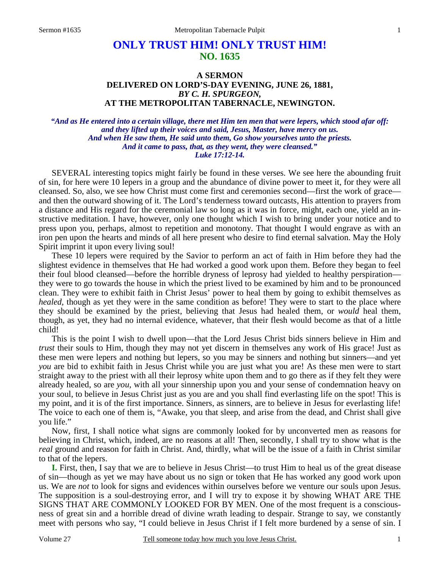# **ONLY TRUST HIM! ONLY TRUST HIM! NO. 1635**

### **A SERMON DELIVERED ON LORD'S-DAY EVENING, JUNE 26, 1881,**  *BY C. H. SPURGEON,*  **AT THE METROPOLITAN TABERNACLE, NEWINGTON.**

*"And as He entered into a certain village, there met Him ten men that were lepers, which stood afar off: and they lifted up their voices and said, Jesus, Master, have mercy on us. And when He saw them, He said unto them, Go show yourselves unto the priests. And it came to pass, that, as they went, they were cleansed." Luke 17:12-14.* 

SEVERAL interesting topics might fairly be found in these verses. We see here the abounding fruit of sin, for here were 10 lepers in a group and the abundance of divine power to meet it, for they were all cleansed. So, also, we see how Christ must come first and ceremonies second—first the work of grace and then the outward showing of it. The Lord's tenderness toward outcasts, His attention to prayers from a distance and His regard for the ceremonial law so long as it was in force, might, each one, yield an instructive meditation. I have, however, only one thought which I wish to bring under your notice and to press upon you, perhaps, almost to repetition and monotony. That thought I would engrave as with an iron pen upon the hearts and minds of all here present who desire to find eternal salvation. May the Holy Spirit imprint it upon every living soul!

 These 10 lepers were required by the Savior to perform an act of faith in Him before they had the slightest evidence in themselves that He had worked a good work upon them. Before they began to feel their foul blood cleansed—before the horrible dryness of leprosy had yielded to healthy perspiration they were to go towards the house in which the priest lived to be examined by him and to be pronounced clean. They were to exhibit faith in Christ Jesus' power to heal them by going to exhibit themselves as *healed*, though as yet they were in the same condition as before! They were to start to the place where they should be examined by the priest, believing that Jesus had healed them, or *would* heal them, though, as yet, they had no internal evidence, whatever, that their flesh would become as that of a little child!

 This is the point I wish to dwell upon—that the Lord Jesus Christ bids sinners believe in Him and *trust* their souls to Him, though they may not yet discern in themselves any work of His grace! Just as these men were lepers and nothing but lepers, so you may be sinners and nothing but sinners—and yet *you* are bid to exhibit faith in Jesus Christ while you are just what you are! As these men were to start straight away to the priest with all their leprosy white upon them and to go there as if they felt they were already healed, so are *you,* with all your sinnership upon you and your sense of condemnation heavy on your soul, to believe in Jesus Christ just as you are and you shall find everlasting life on the spot! This is my point, and it is of the first importance. Sinners, as sinners, are to believe in Jesus for everlasting life! The voice to each one of them is, "Awake, you that sleep, and arise from the dead, and Christ shall give you life."

 Now, first, I shall notice what signs are commonly looked for by unconverted men as reasons for believing in Christ, which, indeed, are no reasons at all! Then, secondly, I shall try to show what is the *real* ground and reason for faith in Christ. And, thirdly, what will be the issue of a faith in Christ similar to that of the lepers.

**I.** First, then, I say that we are to believe in Jesus Christ—to trust Him to heal us of the great disease of sin—though as yet we may have about us no sign or token that He has worked any good work upon us. We are *not* to look for signs and evidences within ourselves before we venture our souls upon Jesus. The supposition is a soul-destroying error, and I will try to expose it by showing WHAT ARE THE SIGNS THAT ARE COMMONLY LOOKED FOR BY MEN. One of the most frequent is a consciousness of great sin and a horrible dread of divine wrath leading to despair. Strange to say, we constantly meet with persons who say, "I could believe in Jesus Christ if I felt more burdened by a sense of sin. I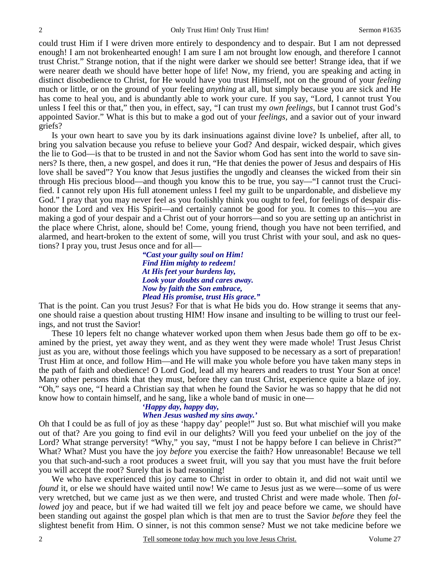could trust Him if I were driven more entirely to despondency and to despair. But I am not depressed enough! I am not brokenhearted enough! I am sure I am not brought low enough, and therefore I cannot trust Christ." Strange notion, that if the night were darker we should see better! Strange idea, that if we were nearer death we should have better hope of life! Now, my friend, you are speaking and acting in distinct disobedience to Christ, for He would have you trust Himself, not on the ground of your *feeling* much or little, or on the ground of your feeling *anything* at all, but simply because you are sick and He has come to heal you, and is abundantly able to work your cure. If you say, "Lord, I cannot trust You unless I feel this or that," then you, in effect, say, "I can trust my *own feelings,* but I cannot trust God's appointed Savior." What is this but to make a god out of your *feelings,* and a savior out of your inward griefs?

 Is your own heart to save you by its dark insinuations against divine love? Is unbelief, after all, to bring you salvation because you refuse to believe your God? And despair, wicked despair, which gives the lie to God—is that to be trusted in and not the Savior whom God has sent into the world to save sinners? Is there, then, a new gospel, and does it run, "He that denies the power of Jesus and despairs of His love shall be saved"? You know that Jesus justifies the ungodly and cleanses the wicked from their sin through His precious blood—and though you know this to be true, you say—"I cannot trust the Crucified. I cannot rely upon His full atonement unless I feel my guilt to be unpardonable, and disbelieve my God." I pray that you may never feel as you foolishly think you ought to feel, for feelings of despair dishonor the Lord and vex His Spirit—and certainly cannot be good for you. It comes to this—you are making a god of your despair and a Christ out of your horrors—and so you are setting up an antichrist in the place where Christ, alone, should be! Come, young friend, though you have not been terrified, and alarmed, and heart-broken to the extent of some, will you trust Christ with your soul, and ask no questions? I pray you, trust Jesus once and for all—

> *"Cast your guilty soul on Him! Find Him mighty to redeem! At His feet your burdens lay, Look your doubts and cares away. Now by faith the Son embrace, Plead His promise, trust His grace."*

That is the point. Can you trust Jesus? For that is what He bids you do. How strange it seems that anyone should raise a question about trusting HIM! How insane and insulting to be willing to trust our feelings, and not trust the Savior!

 These 10 lepers felt no change whatever worked upon them when Jesus bade them go off to be examined by the priest, yet away they went, and as they went they were made whole! Trust Jesus Christ just as you are, without those feelings which you have supposed to be necessary as a sort of preparation! Trust Him at once, and follow Him—and He will make you whole before you have taken many steps in the path of faith and obedience! O Lord God, lead all my hearers and readers to trust Your Son at once! Many other persons think that they must, before they can trust Christ, experience quite a blaze of joy. "Oh," says one, "I heard a Christian say that when he found the Savior he was so happy that he did not know how to contain himself, and he sang, like a whole band of music in one—

## *'Happy day, happy day,*

### *When Jesus washed my sins away.'*

Oh that I could be as full of joy as these 'happy day' people!" Just so. But what mischief will you make out of that? Are you going to find evil in our delights? Will you feed your unbelief on the joy of the Lord? What strange perversity! "Why," you say, "must I not be happy before I can believe in Christ?" What? What? Must you have the joy *before* you exercise the faith? How unreasonable! Because we tell you that such-and-such a root produces a sweet fruit, will you say that you must have the fruit before you will accept the root? Surely that is bad reasoning!

 We who have experienced this joy came to Christ in order to obtain it, and did not wait until we *found* it, or else we should have waited until now! We came to Jesus just as we were—some of us were very wretched, but we came just as we then were, and trusted Christ and were made whole. Then *followed* joy and peace, but if we had waited till we felt joy and peace before we came, we should have been standing out against the gospel plan which is that men are to trust the Savior *before* they feel the slightest benefit from Him. O sinner, is not this common sense? Must we not take medicine before we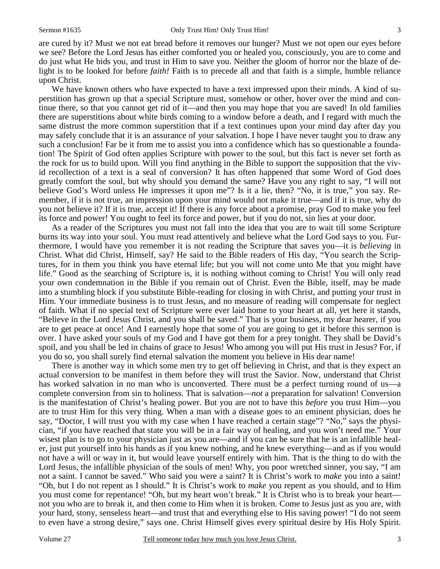are cured by it? Must we not eat bread before it removes our hunger? Must we not open our eyes before we see? Before the Lord Jesus has either comforted you or healed you, consciously, you are to come and do just what He bids you, and trust in Him to save you. Neither the gloom of horror nor the blaze of delight is to be looked for before *faith!* Faith is to precede all and that faith is a simple, humble reliance upon Christ.

We have known others who have expected to have a text impressed upon their minds. A kind of superstition has grown up that a special Scripture must, somehow or other, hover over the mind and continue there, so that you cannot get rid of it—and then you may hope that you are saved! In old families there are superstitions about white birds coming to a window before a death, and I regard with much the same distrust the more common superstition that if a text continues upon your mind day after day you may safely conclude that it is an assurance of your salvation. I hope I have never taught you to draw any such a conclusion! Far be it from me to assist you into a confidence which has so questionable a foundation! The Spirit of God often applies Scripture with power to the soul, but this fact is never set forth as the rock for us to build upon. Will you find anything in the Bible to support the supposition that the vivid recollection of a text is a seal of conversion? It has often happened that some Word of God does greatly comfort the soul, but why should you demand the same? Have you any right to say, "I will not believe God's Word unless He impresses it upon me"? Is it a lie, then? "No, it is true," you say. Remember, if it is not true, an impression upon your mind would not make it true—and if it is true, why do you not believe it? If it is true, accept it! If there is any force about a promise, pray God to make you feel its force and power! You ought to feel its force and power, but if you do not, sin lies at your door.

 As a reader of the Scriptures you must not fall into the idea that you are to wait till some Scripture burns its way into your soul. You must read attentively and believe what the Lord God says to you. Furthermore, I would have you remember it is not reading the Scripture that saves you—it is *believing* in Christ. What did Christ, Himself, say? He said to the Bible readers of His day, "You search the Scriptures, for in them you think you have eternal life; but you will not come unto Me that you might have life." Good as the searching of Scripture is, it is nothing without coming to Christ! You will only read your own condemnation in the Bible if you remain out of Christ. Even the Bible, itself, may be made into a stumbling block if you substitute Bible-reading for closing in with Christ, and putting your trust in Him. Your immediate business is to trust Jesus, and no measure of reading will compensate for neglect of faith. What if no special text of Scripture were ever laid home to your heart at all, yet here it stands, "Believe in the Lord Jesus Christ, and you shall be saved." That is your business, my dear hearer, if you are to get peace at once! And I earnestly hope that some of you are going to get it before this sermon is over. I have asked your souls of my God and I have got them for a prey tonight. They shall be David's spoil, and you shall be led in chains of grace to Jesus! Who among you will put His trust in Jesus? For, if you do so, you shall surely find eternal salvation the moment you believe in His dear name!

 There is another way in which some men try to get off believing in Christ, and that is they expect an actual conversion to be manifest in them before they will trust the Savior. Now, understand that Christ has worked salvation in no man who is unconverted. There must be a perfect turning round of us—a complete conversion from sin to holiness. That is salvation—*not* a preparation for salvation! Conversion is the manifestation of Christ's healing power. But you are not to have this *before* you trust Him—you are to trust Him for this very thing. When a man with a disease goes to an eminent physician, does he say, "Doctor, I will trust you with my case when I have reached a certain stage"? "No," says the physician, "if you have reached that state you will be in a fair way of healing, and you won't need me." Your wisest plan is to go to your physician just as you are—and if you can be sure that he is an infallible healer, just put yourself into his hands as if you knew nothing, and he knew everything—and as if you would not have a will or way in it, but would leave yourself entirely with him. That is the thing to do with the Lord Jesus, the infallible physician of the souls of men! Why, you poor wretched sinner, you say, "I am not a saint. I cannot be saved." Who said you were a saint? It is Christ's work to *make* you into a saint! "Oh, but I do not repent as I should." It is Christ's work to *make* you repent as you should, and to Him you must come for repentance! "Oh, but my heart won't break." It is Christ who is to break your heart not you who are to break it, and then come to Him when it is broken. Come to Jesus just as you are, with your hard, stony, senseless heart—and trust that and everything else to His saving power! "I do not seem to even have a strong desire," says one. Christ Himself gives every spiritual desire by His Holy Spirit.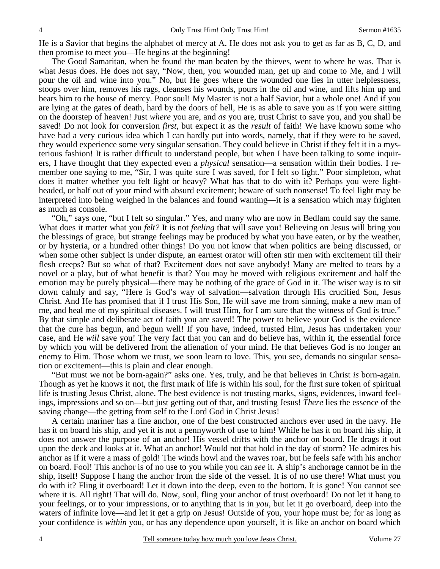He is a Savior that begins the alphabet of mercy at A. He does not ask you to get as far as B, C, D, and then promise to meet you—He begins at the beginning!

 The Good Samaritan, when he found the man beaten by the thieves, went to where he was. That is what Jesus does. He does not say, "Now, then, you wounded man, get up and come to Me, and I will pour the oil and wine into you." No, but He goes where the wounded one lies in utter helplessness, stoops over him, removes his rags, cleanses his wounds, pours in the oil and wine, and lifts him up and bears him to the house of mercy. Poor soul! My Master is not a half Savior, but a whole one! And if you are lying at the gates of death, hard by the doors of hell, He is as able to save you as if you were sitting on the doorstep of heaven! Just *where* you are, and *as* you are, trust Christ to save you, and you shall be saved! Do not look for conversion *first,* but expect it as the *result* of faith! We have known some who have had a very curious idea which I can hardly put into words, namely, that if they were to be saved, they would experience some very singular sensation. They could believe in Christ if they felt it in a mysterious fashion! It is rather difficult to understand people, but when I have been talking to some inquirers, I have thought that they expected even a *physical* sensation—a sensation within their bodies. I remember one saying to me, "Sir, I was quite sure I was saved, for I felt so light." Poor simpleton, what does it matter whether you felt light or heavy? What has that to do with it? Perhaps you were lightheaded, or half out of your mind with absurd excitement; beware of such nonsense! To feel light may be interpreted into being weighed in the balances and found wanting—it is a sensation which may frighten as much as console.

 "Oh," says one, "but I felt so singular." Yes, and many who are now in Bedlam could say the same. What does it matter what you *felt?* It is not *feeling* that will save you! Believing on Jesus will bring you the blessings of grace, but strange feelings may be produced by what you have eaten, or by the weather, or by hysteria, or a hundred other things! Do you not know that when politics are being discussed, or when some other subject is under dispute, an earnest orator will often stir men with excitement till their flesh creeps? But so what of that? Excitement does not save anybody! Many are melted to tears by a novel or a play, but of what benefit is that? You may be moved with religious excitement and half the emotion may be purely physical—there may be nothing of the grace of God in it. The wiser way is to sit down calmly and say, "Here is God's way of salvation—salvation through His crucified Son, Jesus Christ. And He has promised that if I trust His Son, He will save me from sinning, make a new man of me, and heal me of my spiritual diseases. I will trust Him, for I am sure that the witness of God is true." By that simple and deliberate act of faith you are saved! The power to believe your God is the evidence that the cure has begun, and begun well! If you have, indeed, trusted Him, Jesus has undertaken your case, and He *will* save you! The very fact that you can and do believe has, within it, the essential force by which you will be delivered from the alienation of your mind. He that believes God is no longer an enemy to Him. Those whom we trust, we soon learn to love. This, you see, demands no singular sensation or excitement—this is plain and clear enough.

 "But must we not be born-again?" asks one. Yes, truly, and he that believes in Christ *is* born-again. Though as yet he knows it not, the first mark of life is within his soul, for the first sure token of spiritual life is trusting Jesus Christ, alone. The best evidence is not trusting marks, signs, evidences, inward feelings, impressions and so on—but just getting out of that, and trusting Jesus! *There* lies the essence of the saving change—the getting from self to the Lord God in Christ Jesus!

 A certain mariner has a fine anchor, one of the best constructed anchors ever used in the navy. He has it on board his ship, and yet it is not a pennyworth of use to him! While he has it on board his ship, it does not answer the purpose of an anchor! His vessel drifts with the anchor on board. He drags it out upon the deck and looks at it. What an anchor! Would not that hold in the day of storm? He admires his anchor as if it were a mass of gold! The winds howl and the waves roar, but he feels safe with his anchor on board. Fool! This anchor is of no use to you while you can *see* it. A ship's anchorage cannot be in the ship, itself! Suppose I hang the anchor from the side of the vessel. It is of no use there! What must you do with it? Fling it overboard! Let it down into the deep, even to the bottom. It is gone! You cannot see where it is. All right! That will do. Now, soul, fling your anchor of trust overboard! Do not let it hang to your feelings, or to your impressions, or to anything that is in *you,* but let it go overboard, deep into the waters of infinite love—and let it get a grip on Jesus! Outside of you, your hope must be; for as long as your confidence is *within* you, or has any dependence upon yourself, it is like an anchor on board which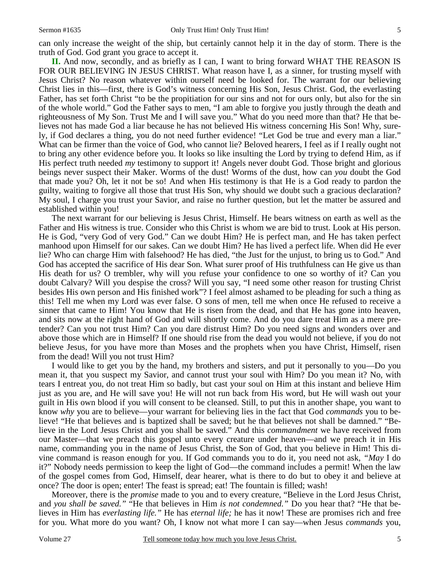can only increase the weight of the ship, but certainly cannot help it in the day of storm. There is the truth of God. God grant you grace to accept it.

**II.** And now, secondly, and as briefly as I can, I want to bring forward WHAT THE REASON IS FOR OUR BELIEVING IN JESUS CHRIST. What reason have I, as a sinner, for trusting myself with Jesus Christ? No reason whatever within ourself need be looked for. The warrant for our believing Christ lies in this—first, there is God's witness concerning His Son, Jesus Christ. God, the everlasting Father, has set forth Christ "to be the propitiation for our sins and not for ours only, but also for the sin of the whole world." God the Father says to men, "I am able to forgive you justly through the death and righteousness of My Son. Trust Me and I will save you." What do you need more than that? He that believes not has made God a liar because he has not believed His witness concerning His Son! Why, surely, if God declares a thing, you do not need further evidence! "Let God be true and every man a liar." What can be firmer than the voice of God, who cannot lie? Beloved hearers, I feel as if I really ought not to bring any other evidence before you. It looks so like insulting the Lord by trying to defend Him, as if His perfect truth needed *my* testimony to support it! Angels never doubt God. Those bright and glorious beings never suspect their Maker. Worms of the dust! Worms of the dust, how can *you* doubt the God that made you? Oh, let it not be so! And when His testimony is that He is a God ready to pardon the guilty, waiting to forgive all those that trust His Son, why should we doubt such a gracious declaration? My soul, I charge you trust your Savior, and raise no further question, but let the matter be assured and established within you!

 The next warrant for our believing is Jesus Christ, Himself. He bears witness on earth as well as the Father and His witness is true. Consider who this Christ is whom we are bid to trust. Look at His person. He is God, "very God of very God." Can we doubt Him? He is perfect man, and He has taken perfect manhood upon Himself for our sakes. Can we doubt Him? He has lived a perfect life. When did He ever lie? Who can charge Him with falsehood? He has died, "the Just for the unjust, to bring us to God." And God has accepted the sacrifice of His dear Son. What surer proof of His truthfulness can He give us than His death for us? O trembler, why will you refuse your confidence to one so worthy of it? Can you doubt Calvary? Will you despise the cross? Will you say, "I need some other reason for trusting Christ besides His own person and His finished work"? I feel almost ashamed to be pleading for such a thing as this! Tell me when my Lord was ever false. O sons of men, tell me when once He refused to receive a sinner that came to Him! You know that He is risen from the dead, and that He has gone into heaven, and sits now at the right hand of God and will shortly come. And do you dare treat Him as a mere pretender? Can you not trust Him? Can you dare distrust Him? Do you need signs and wonders over and above those which are in Himself? If one should rise from the dead you would not believe, if you do not believe Jesus, for you have more than Moses and the prophets when you have Christ, Himself, risen from the dead! Will you not trust Him?

 I would like to get you by the hand, my brothers and sisters, and put it personally to you—Do you mean it, that you suspect my Savior, and cannot trust your soul with Him? Do you mean it? No, with tears I entreat you, do not treat Him so badly, but cast your soul on Him at this instant and believe Him just as you are, and He will save you! He will not run back from His word, but He will wash out your guilt in His own blood if you will consent to be cleansed. Still, to put this in another shape, you want to know *why* you are to believe—your warrant for believing lies in the fact that God *commands* you to believe! "He that believes and is baptized shall be saved; but he that believes not shall be damned." "Believe in the Lord Jesus Christ and you shall be saved." And this *commandment* we have received from our Master—that we preach this gospel unto every creature under heaven—and we preach it in His name, commanding you in the name of Jesus Christ, the Son of God, that you believe in Him! This divine command is reason enough for you. If God commands you to do it, you need not ask, *"May* I do it?" Nobody needs permission to keep the light of God—the command includes a permit! When the law of the gospel comes from God, Himself, dear hearer, what is there to do but to obey it and believe at once? The door is open; enter! The feast is spread; eat! The fountain is filled; wash!

 Moreover, there is the *promise* made to you and to every creature, "Believe in the Lord Jesus Christ, and *you shall be saved."* "He that believes in Him *is not condemned."* Do you hear that? "He that believes in Him has *everlasting life."* He has *eternal life;* he has it now! These are promises rich and free for you. What more do you want? Oh, I know not what more I can say—when Jesus *commands* you,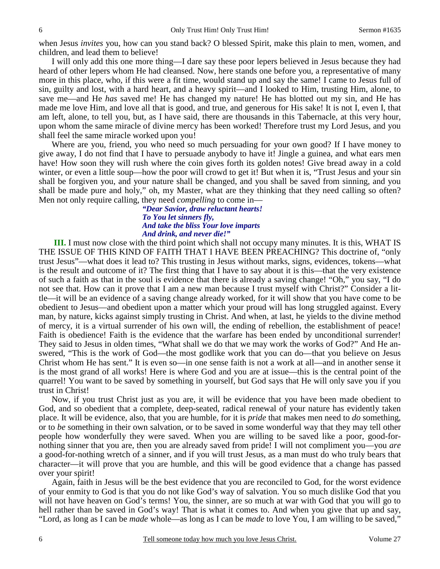when Jesus *invites* you, how can you stand back? O blessed Spirit, make this plain to men, women, and children, and lead them to believe!

 I will only add this one more thing—I dare say these poor lepers believed in Jesus because they had heard of other lepers whom He had cleansed. Now, here stands one before you, a representative of many more in this place, who, if this were a fit time, would stand up and say the same! I came to Jesus full of sin, guilty and lost, with a hard heart, and a heavy spirit—and I looked to Him, trusting Him, alone, to save me—and He *has* saved me! He has changed my nature! He has blotted out my sin, and He has made me love Him, and love all that is good, and true, and generous for His sake! It is not I, even I, that am left, alone, to tell you, but, as I have said, there are thousands in this Tabernacle, at this very hour, upon whom the same miracle of divine mercy has been worked! Therefore trust my Lord Jesus, and you shall feel the same miracle worked upon you!

 Where are you, friend, you who need so much persuading for your own good? If I have money to give away, I do not find that I have to persuade anybody to have it! Jingle a guinea, and what ears men have! How soon they will rush where the coin gives forth its golden notes! Give bread away in a cold winter, or even a little soup—how the poor will crowd to get it! But when it is, "Trust Jesus and your sin shall be forgiven you, and your nature shall be changed, and you shall be saved from sinning, and you shall be made pure and holy," oh, my Master, what are they thinking that they need calling so often? Men not only require calling, they need *compelling* to come in—

*"Dear Savior, draw reluctant hearts! To You let sinners fly, And take the bliss Your love imparts And drink, and never die!"* 

**III.** I must now close with the third point which shall not occupy many minutes. It is this, WHAT IS THE ISSUE OF THIS KIND OF FAITH THAT I HAVE BEEN PREACHING? This doctrine of, "only trust Jesus"—what does it lead to? This trusting in Jesus without marks, signs, evidences, tokens—what is the result and outcome of it? The first thing that I have to say about it is this—that the very existence of such a faith as that in the soul is evidence that there is already a saving change! "Oh," you say, "I do not see that. How can it prove that I am a new man because I trust myself with Christ?" Consider a little—it will be an evidence of a saving change already worked, for it will show that you have come to be obedient to Jesus—and obedient upon a matter which your proud will has long struggled against. Every man, by nature, kicks against simply trusting in Christ. And when, at last, he yields to the divine method of mercy, it is a virtual surrender of his own will, the ending of rebellion, the establishment of peace! Faith is obedience! Faith is the evidence that the warfare has been ended by unconditional surrender! They said to Jesus in olden times, "What shall we do that we may work the works of God?" And He answered, "This is the work of God—the most godlike work that you can do—that you believe on Jesus Christ whom He has sent." It is even so—in one sense faith is not a work at all—and in another sense it is the most grand of all works! Here is where God and you are at issue—this is the central point of the quarrel! You want to be saved by something in yourself, but God says that He will only save you if you trust in Christ!

 Now, if you trust Christ just as you are, it will be evidence that you have been made obedient to God, and so obedient that a complete, deep-seated, radical renewal of your nature has evidently taken place. It will be evidence, also, that you are humble, for it is *pride* that makes men need to *do* something, or to *be* something in their own salvation, or to be saved in some wonderful way that they may tell other people how wonderfully they were saved. When you are willing to be saved like a poor, good-fornothing sinner that you are, then you are already saved from pride! I will not compliment you—you *are* a good-for-nothing wretch of a sinner, and if you will trust Jesus, as a man must do who truly bears that character—it will prove that you are humble, and this will be good evidence that a change has passed over your spirit!

 Again, faith in Jesus will be the best evidence that you are reconciled to God, for the worst evidence of your enmity to God is that you do not like God's way of salvation. You so much dislike God that you will not have heaven on God's terms! You, the sinner, are so much at war with God that you will go to hell rather than be saved in God's way! That is what it comes to. And when you give that up and say, "Lord, as long as I can be *made* whole—as long as I can be *made* to love You, I am willing to be saved,"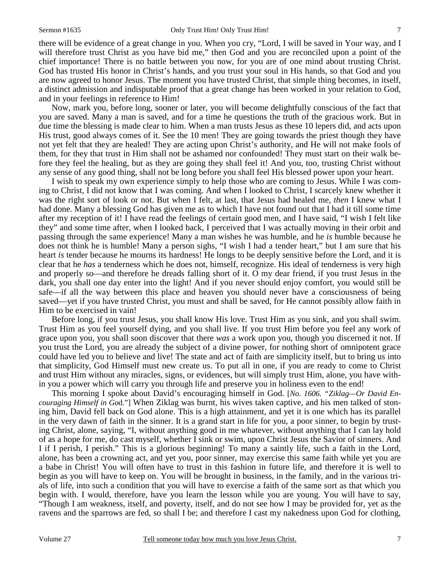there will be evidence of a great change in you. When you cry, "Lord, I will be saved in Your way, and I

will therefore trust Christ as you have bid me," then God and you are reconciled upon a point of the chief importance! There is no battle between you now, for you are of one mind about trusting Christ. God has trusted His honor in Christ's hands, and you trust your soul in His hands, so that God and you are now agreed to honor Jesus. The moment you have trusted Christ, that simple thing becomes, in itself, a distinct admission and indisputable proof that a great change has been worked in your relation to God, and in your feelings in reference to Him!

 Now, mark you, before long, sooner or later, you will become delightfully conscious of the fact that you are saved. Many a man is saved, and for a time he questions the truth of the gracious work. But in due time the blessing is made clear to him. When a man trusts Jesus as these 10 lepers did, and acts upon His trust, good always comes of it. See the 10 men! They are going towards the priest though they have not yet felt that they are healed! They are acting upon Christ's authority, and He will not make fools of them, for they that trust in Him shall not be ashamed nor confounded! They must start on their walk before they feel the healing, but as they are going they shall feel it! And you, too, trusting Christ without any sense of any good thing, shall not be long before you shall feel His blessed power upon your heart.

 I wish to speak my own experience simply to help those who are coming to Jesus. While I was coming to Christ, I did not know that I was coming. And when I looked to Christ, I scarcely knew whether it was the right sort of look or not. But when I felt, at last, that Jesus had healed me, *then* I knew what I had done. Many a blessing God has given me as to which I have not found out that I had it till some time after my reception of it! I have read the feelings of certain good men, and I have said, "I wish I felt like they" and some time after, when I looked back, I perceived that I was actually moving in their orbit and passing through the same experience! Many a man wishes he was humble, and he *is* humble because he does not think he is humble! Many a person sighs, "I wish I had a tender heart," but I am sure that his heart *is* tender because he mourns its hardness! He longs to be deeply sensitive before the Lord, and it is clear that he *has* a tenderness which he does not, himself, recognize. His ideal of tenderness is very high and properly so—and therefore he dreads falling short of it. O my dear friend, if you trust Jesus in the dark, you shall one day enter into the light! And if you never should enjoy comfort, you would still be safe—if all the way between this place and heaven you should never have a consciousness of being saved—yet if you have trusted Christ, you must and shall be saved, for He cannot possibly allow faith in Him to be exercised in vain!

 Before long, if you trust Jesus, you shall know His love. Trust Him as you sink, and you shall swim. Trust Him as you feel yourself dying, and you shall live. If you trust Him before you feel any work of grace upon you, you shall soon discover that there *was* a work upon you, though you discerned it not. If you trust the Lord, you are already the subject of a divine power, for nothing short of omnipotent grace could have led you to believe and live! The state and act of faith are simplicity itself, but to bring us into that simplicity, God Himself must new create us. To put all in one, if you are ready to come to Christ and trust Him without any miracles, signs, or evidences, but will simply trust Him, alone, you have within you a power which will carry you through life and preserve you in holiness even to the end!

 This morning I spoke about David's encouraging himself in God. [*No. 1606. "Ziklag—Or David Encouraging Himself in Go*d."] When Ziklag was burnt, his wives taken captive, and his men talked of stoning him, David fell back on God alone. This is a high attainment, and yet it is one which has its parallel in the very dawn of faith in the sinner. It is a grand start in life for you, a poor sinner, to begin by trusting Christ, alone, saying, "I, without anything good in me whatever, without anything that I can lay hold of as a hope for me, do cast myself, whether I sink or swim, upon Christ Jesus the Savior of sinners. And I if I perish, I perish." This is a glorious beginning! To many a saintly life, such a faith in the Lord, alone, has been a crowning act, and yet you, poor sinner, may exercise this same faith while yet you are a babe in Christ! You will often have to trust in this fashion in future life, and therefore it is well to begin as you will have to keep on. You will be brought in business, in the family, and in the various trials of life, into such a condition that you will have to exercise a faith of the same sort as that which you begin with. I would, therefore, have you learn the lesson while you are young. You will have to say, "Though I am weakness, itself, and poverty, itself, and do not see how I may be provided for, yet as the ravens and the sparrows are fed, so shall I be; and therefore I cast my nakedness upon God for clothing,